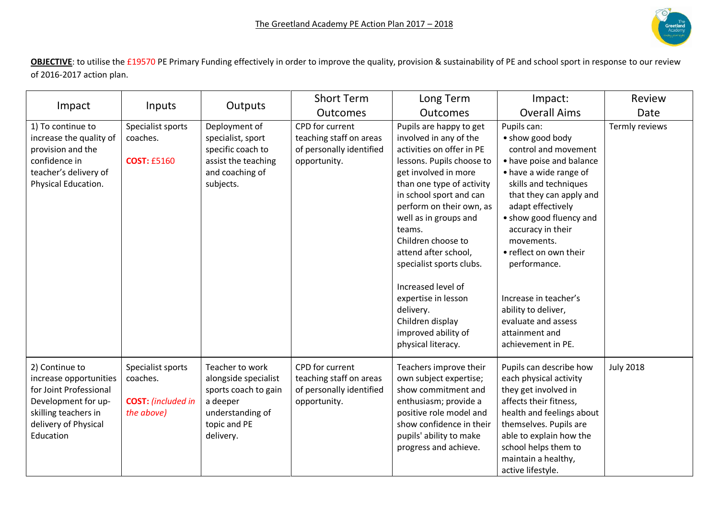

**OBJECTIVE**: to utilise the £19570 PE Primary Funding effectively in order to improve the quality, provision & sustainability of PE and school sport in response to our review of 2016-2017 action plan.

|                                                                                                                                                        | Inputs                                                                   | Outputs                                                                                                                      | <b>Short Term</b>                                                                      | Long Term                                                                                                                                                                                                                                                                                                                                                                                                                                                       | Impact:                                                                                                                                                                                                                                                                                                                                                                                                       | Review           |
|--------------------------------------------------------------------------------------------------------------------------------------------------------|--------------------------------------------------------------------------|------------------------------------------------------------------------------------------------------------------------------|----------------------------------------------------------------------------------------|-----------------------------------------------------------------------------------------------------------------------------------------------------------------------------------------------------------------------------------------------------------------------------------------------------------------------------------------------------------------------------------------------------------------------------------------------------------------|---------------------------------------------------------------------------------------------------------------------------------------------------------------------------------------------------------------------------------------------------------------------------------------------------------------------------------------------------------------------------------------------------------------|------------------|
| Impact                                                                                                                                                 |                                                                          |                                                                                                                              | <b>Outcomes</b>                                                                        | <b>Outcomes</b>                                                                                                                                                                                                                                                                                                                                                                                                                                                 | <b>Overall Aims</b>                                                                                                                                                                                                                                                                                                                                                                                           | Date             |
| 1) To continue to<br>increase the quality of<br>provision and the<br>confidence in<br>teacher's delivery of<br>Physical Education.                     | Specialist sports<br>coaches.<br><b>COST: £5160</b>                      | Deployment of<br>specialist, sport<br>specific coach to<br>assist the teaching<br>and coaching of<br>subjects.               | CPD for current<br>teaching staff on areas<br>of personally identified<br>opportunity. | Pupils are happy to get<br>involved in any of the<br>activities on offer in PE<br>lessons. Pupils choose to<br>get involved in more<br>than one type of activity<br>in school sport and can<br>perform on their own, as<br>well as in groups and<br>teams.<br>Children choose to<br>attend after school,<br>specialist sports clubs.<br>Increased level of<br>expertise in lesson<br>delivery.<br>Children display<br>improved ability of<br>physical literacy. | Pupils can:<br>• show good body<br>control and movement<br>• have poise and balance<br>• have a wide range of<br>skills and techniques<br>that they can apply and<br>adapt effectively<br>• show good fluency and<br>accuracy in their<br>movements.<br>• reflect on own their<br>performance.<br>Increase in teacher's<br>ability to deliver,<br>evaluate and assess<br>attainment and<br>achievement in PE. | Termly reviews   |
| 2) Continue to<br>increase opportunities<br>for Joint Professional<br>Development for up-<br>skilling teachers in<br>delivery of Physical<br>Education | Specialist sports<br>coaches.<br><b>COST:</b> (included in<br>the above) | Teacher to work<br>alongside specialist<br>sports coach to gain<br>a deeper<br>understanding of<br>topic and PE<br>delivery. | CPD for current<br>teaching staff on areas<br>of personally identified<br>opportunity. | Teachers improve their<br>own subject expertise;<br>show commitment and<br>enthusiasm; provide a<br>positive role model and<br>show confidence in their<br>pupils' ability to make<br>progress and achieve.                                                                                                                                                                                                                                                     | Pupils can describe how<br>each physical activity<br>they get involved in<br>affects their fitness,<br>health and feelings about<br>themselves. Pupils are<br>able to explain how the<br>school helps them to<br>maintain a healthy,<br>active lifestyle.                                                                                                                                                     | <b>July 2018</b> |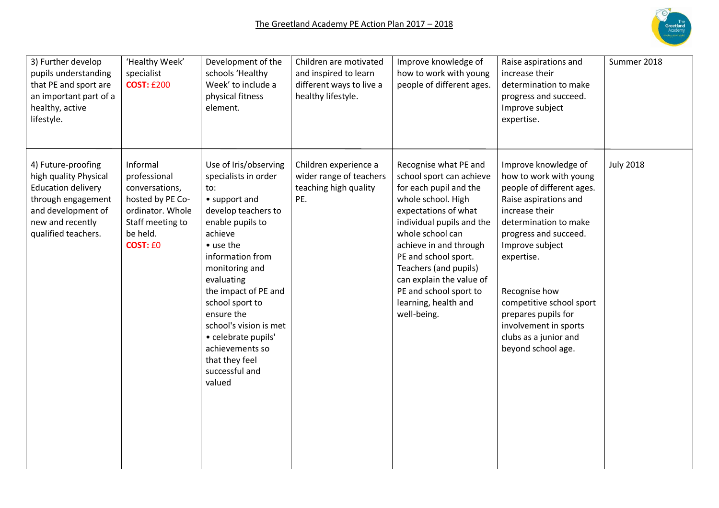

| 3) Further develop<br>pupils understanding<br>that PE and sport are<br>an important part of a<br>healthy, active<br>lifestyle.                                  | 'Healthy Week'<br>specialist<br><b>COST: £200</b>                                                                                     | Development of the<br>schools 'Healthy<br>Week' to include a<br>physical fitness<br>element.                                                                                                                                                                                                                                                                            | Children are motivated<br>and inspired to learn<br>different ways to live a<br>healthy lifestyle. | Improve knowledge of<br>how to work with young<br>people of different ages.                                                                                                                                                                                                                                                                        | Raise aspirations and<br>increase their<br>determination to make<br>progress and succeed.<br>Improve subject<br>expertise.                                                                                                                                                                                                                            | Summer 2018      |
|-----------------------------------------------------------------------------------------------------------------------------------------------------------------|---------------------------------------------------------------------------------------------------------------------------------------|-------------------------------------------------------------------------------------------------------------------------------------------------------------------------------------------------------------------------------------------------------------------------------------------------------------------------------------------------------------------------|---------------------------------------------------------------------------------------------------|----------------------------------------------------------------------------------------------------------------------------------------------------------------------------------------------------------------------------------------------------------------------------------------------------------------------------------------------------|-------------------------------------------------------------------------------------------------------------------------------------------------------------------------------------------------------------------------------------------------------------------------------------------------------------------------------------------------------|------------------|
| 4) Future-proofing<br>high quality Physical<br><b>Education delivery</b><br>through engagement<br>and development of<br>new and recently<br>qualified teachers. | Informal<br>professional<br>conversations,<br>hosted by PE Co-<br>ordinator. Whole<br>Staff meeting to<br>be held.<br><b>COST: EO</b> | Use of Iris/observing<br>specialists in order<br>to:<br>• support and<br>develop teachers to<br>enable pupils to<br>achieve<br>• use the<br>information from<br>monitoring and<br>evaluating<br>the impact of PE and<br>school sport to<br>ensure the<br>school's vision is met<br>· celebrate pupils'<br>achievements so<br>that they feel<br>successful and<br>valued | Children experience a<br>wider range of teachers<br>teaching high quality<br>PE.                  | Recognise what PE and<br>school sport can achieve<br>for each pupil and the<br>whole school. High<br>expectations of what<br>individual pupils and the<br>whole school can<br>achieve in and through<br>PE and school sport.<br>Teachers (and pupils)<br>can explain the value of<br>PE and school sport to<br>learning, health and<br>well-being. | Improve knowledge of<br>how to work with young<br>people of different ages.<br>Raise aspirations and<br>increase their<br>determination to make<br>progress and succeed.<br>Improve subject<br>expertise.<br>Recognise how<br>competitive school sport<br>prepares pupils for<br>involvement in sports<br>clubs as a junior and<br>beyond school age. | <b>July 2018</b> |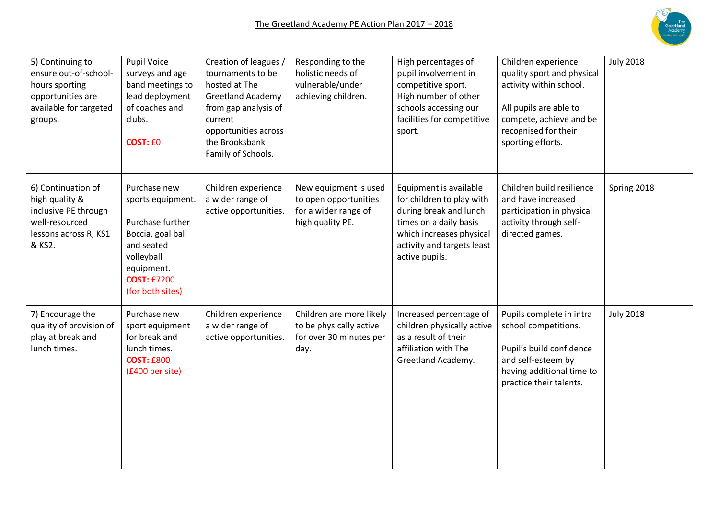

| 5) Continuing to<br>ensure out-of-school-<br>hours sporting<br>opportunities are<br>available for targeted<br>groups. | Pupil Voice<br>surveys and age<br>band meetings to<br>lead deployment<br>of coaches and<br>clubs.<br><b>COST: £0</b>                                           | Creation of leagues /<br>tournaments to be<br>hosted at The<br><b>Greetland Academy</b><br>from gap analysis of<br>current<br>opportunities across<br>the Brooksbank<br>Family of Schools. | Responding to the<br>holistic needs of<br>vulnerable/under<br>achieving children.          | High percentages of<br>pupil involvement in<br>competitive sport.<br>High number of other<br>schools accessing our<br>facilities for competitive<br>sport.                          | Children experience<br>quality sport and physical<br>activity within school.<br>All pupils are able to<br>compete, achieve and be<br>recognised for their<br>sporting efforts. | <b>July 2018</b> |
|-----------------------------------------------------------------------------------------------------------------------|----------------------------------------------------------------------------------------------------------------------------------------------------------------|--------------------------------------------------------------------------------------------------------------------------------------------------------------------------------------------|--------------------------------------------------------------------------------------------|-------------------------------------------------------------------------------------------------------------------------------------------------------------------------------------|--------------------------------------------------------------------------------------------------------------------------------------------------------------------------------|------------------|
| 6) Continuation of<br>high quality &<br>inclusive PE through<br>well-resourced<br>lessons across R, KS1<br>& KS2.     | Purchase new<br>sports equipment.<br>Purchase further<br>Boccia, goal ball<br>and seated<br>volleyball<br>equipment.<br><b>COST: £7200</b><br>(for both sites) | Children experience<br>a wider range of<br>active opportunities.                                                                                                                           | New equipment is used<br>to open opportunities<br>for a wider range of<br>high quality PE. | Equipment is available<br>for children to play with<br>during break and lunch<br>times on a daily basis<br>which increases physical<br>activity and targets least<br>active pupils. | Children build resilience<br>and have increased<br>participation in physical<br>activity through self-<br>directed games.                                                      | Spring 2018      |
| 7) Encourage the<br>quality of provision of<br>play at break and<br>lunch times.                                      | Purchase new<br>sport equipment<br>for break and<br>lunch times.<br><b>COST: £800</b><br>(£400 per site)                                                       | Children experience<br>a wider range of<br>active opportunities.                                                                                                                           | Children are more likely<br>to be physically active<br>for over 30 minutes per<br>day.     | Increased percentage of<br>children physically active<br>as a result of their<br>affiliation with The<br>Greetland Academy.                                                         | Pupils complete in intra<br>school competitions.<br>Pupil's build confidence<br>and self-esteem by<br>having additional time to<br>practice their talents.                     | <b>July 2018</b> |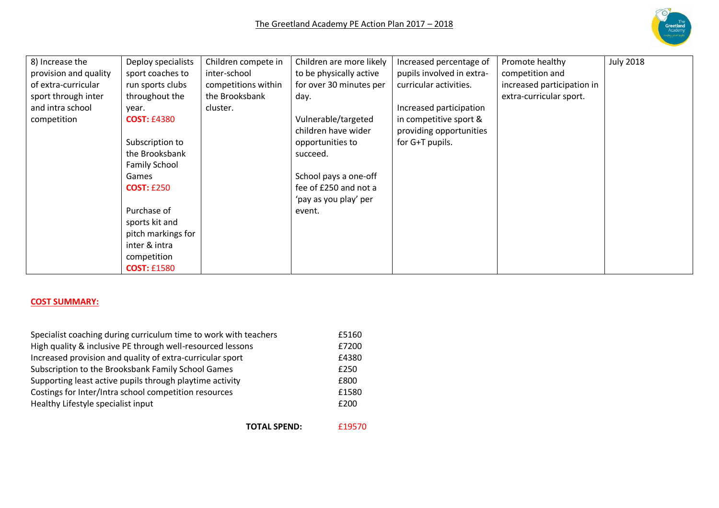

| 8) Increase the       | Deploy specialists   | Children compete in | Children are more likely | Increased percentage of   | Promote healthy            | <b>July 2018</b> |
|-----------------------|----------------------|---------------------|--------------------------|---------------------------|----------------------------|------------------|
| provision and quality | sport coaches to     | inter-school        | to be physically active  | pupils involved in extra- | competition and            |                  |
| of extra-curricular   | run sports clubs     | competitions within | for over 30 minutes per  | curricular activities.    | increased participation in |                  |
| sport through inter   | throughout the       | the Brooksbank      | day.                     |                           | extra-curricular sport.    |                  |
| and intra school      | year.                | cluster.            |                          | Increased participation   |                            |                  |
| competition           | <b>COST: £4380</b>   |                     | Vulnerable/targeted      | in competitive sport &    |                            |                  |
|                       |                      |                     | children have wider      | providing opportunities   |                            |                  |
|                       | Subscription to      |                     | opportunities to         | for G+T pupils.           |                            |                  |
|                       | the Brooksbank       |                     | succeed.                 |                           |                            |                  |
|                       | <b>Family School</b> |                     |                          |                           |                            |                  |
|                       | Games                |                     | School pays a one-off    |                           |                            |                  |
|                       | <b>COST: £250</b>    |                     | fee of £250 and not a    |                           |                            |                  |
|                       |                      |                     | 'pay as you play' per    |                           |                            |                  |
|                       | Purchase of          |                     | event.                   |                           |                            |                  |
|                       | sports kit and       |                     |                          |                           |                            |                  |
|                       | pitch markings for   |                     |                          |                           |                            |                  |
|                       | inter & intra        |                     |                          |                           |                            |                  |
|                       | competition          |                     |                          |                           |                            |                  |
|                       | <b>COST: £1580</b>   |                     |                          |                           |                            |                  |

## **COST SUMMARY:**

| Specialist coaching during curriculum time to work with teachers | £5160 |
|------------------------------------------------------------------|-------|
| High quality & inclusive PE through well-resourced lessons       | £7200 |
| Increased provision and quality of extra-curricular sport        | £4380 |
| Subscription to the Brooksbank Family School Games               | £250  |
| Supporting least active pupils through playtime activity         | £800  |
| Costings for Inter/Intra school competition resources            | £1580 |
| Healthy Lifestyle specialist input                               | £200  |
|                                                                  |       |

**TOTAL SPEND:** £19570